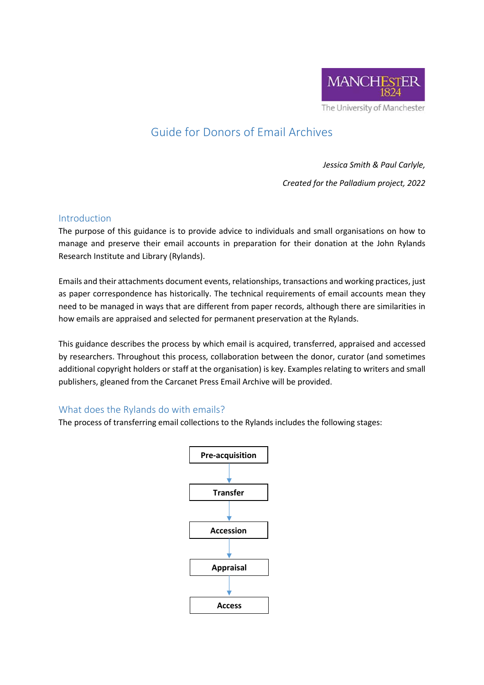

# Guide for Donors of Email Archives

*Jessica Smith & Paul Carlyle,* 

*Created for the Palladium project, 2022*

#### Introduction

The purpose of this guidance is to provide advice to individuals and small organisations on how to manage and preserve their email accounts in preparation for their donation at the John Rylands Research Institute and Library (Rylands).

Emails and their attachments document events, relationships, transactions and working practices, just as paper correspondence has historically. The technical requirements of email accounts mean they need to be managed in ways that are different from paper records, although there are similarities in how emails are appraised and selected for permanent preservation at the Rylands.

This guidance describes the process by which email is acquired, transferred, appraised and accessed by researchers. Throughout this process, collaboration between the donor, curator (and sometimes additional copyright holders or staff at the organisation) is key. Examples relating to writers and small publishers, gleaned from the Carcanet Press Email Archive will be provided.

## What does the Rylands do with emails?

The process of transferring email collections to the Rylands includes the following stages:

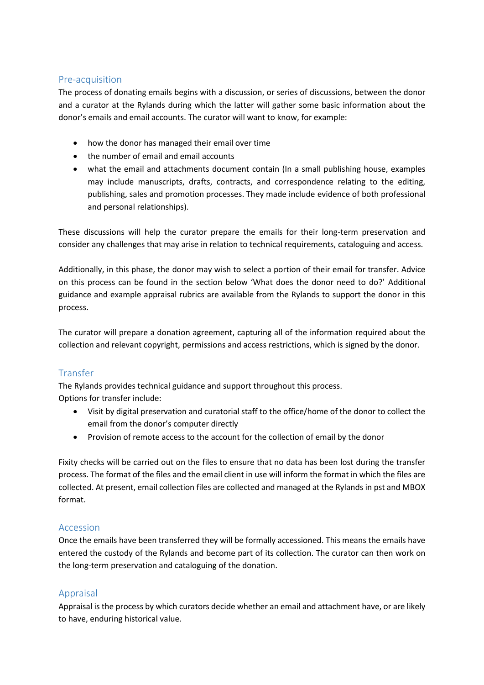## Pre-acquisition

The process of donating emails begins with a discussion, or series of discussions, between the donor and a curator at the Rylands during which the latter will gather some basic information about the donor's emails and email accounts. The curator will want to know, for example:

- how the donor has managed their email over time
- the number of email and email accounts
- what the email and attachments document contain (In a small publishing house, examples may include manuscripts, drafts, contracts, and correspondence relating to the editing, publishing, sales and promotion processes. They made include evidence of both professional and personal relationships).

These discussions will help the curator prepare the emails for their long-term preservation and consider any challenges that may arise in relation to technical requirements, cataloguing and access.

Additionally, in this phase, the donor may wish to select a portion of their email for transfer. Advice on this process can be found in the section below 'What does the donor need to do?' Additional guidance and example appraisal rubrics are available from the Rylands to support the donor in this process.

The curator will prepare a donation agreement, capturing all of the information required about the collection and relevant copyright, permissions and access restrictions, which is signed by the donor.

## Transfer

The Rylands provides technical guidance and support throughout this process. Options for transfer include:

- Visit by digital preservation and curatorial staff to the office/home of the donor to collect the email from the donor's computer directly
- Provision of remote access to the account for the collection of email by the donor

Fixity checks will be carried out on the files to ensure that no data has been lost during the transfer process. The format of the files and the email client in use will inform the format in which the files are collected. At present, email collection files are collected and managed at the Rylands in pst and MBOX format.

#### Accession

Once the emails have been transferred they will be formally accessioned. This means the emails have entered the custody of the Rylands and become part of its collection. The curator can then work on the long-term preservation and cataloguing of the donation.

## Appraisal

Appraisal is the process by which curators decide whether an email and attachment have, or are likely to have, enduring historical value.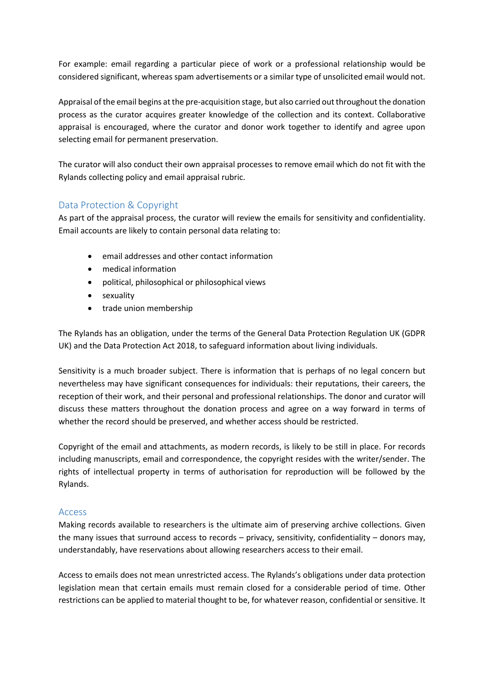For example: email regarding a particular piece of work or a professional relationship would be considered significant, whereas spam advertisements or a similar type of unsolicited email would not.

Appraisal of the email begins at the pre-acquisition stage, but also carried out throughout the donation process as the curator acquires greater knowledge of the collection and its context. Collaborative appraisal is encouraged, where the curator and donor work together to identify and agree upon selecting email for permanent preservation.

The curator will also conduct their own appraisal processes to remove email which do not fit with the Rylands collecting policy and email appraisal rubric.

## Data Protection & Copyright

As part of the appraisal process, the curator will review the emails for sensitivity and confidentiality. Email accounts are likely to contain personal data relating to:

- email addresses and other contact information
- medical information
- political, philosophical or philosophical views
- sexuality
- trade union membership

The Rylands has an obligation, under the terms of the General Data Protection Regulation UK (GDPR UK) and the Data Protection Act 2018, to safeguard information about living individuals.

Sensitivity is a much broader subject. There is information that is perhaps of no legal concern but nevertheless may have significant consequences for individuals: their reputations, their careers, the reception of their work, and their personal and professional relationships. The donor and curator will discuss these matters throughout the donation process and agree on a way forward in terms of whether the record should be preserved, and whether access should be restricted.

Copyright of the email and attachments, as modern records, is likely to be still in place. For records including manuscripts, email and correspondence, the copyright resides with the writer/sender. The rights of intellectual property in terms of authorisation for reproduction will be followed by the Rylands.

#### Access

Making records available to researchers is the ultimate aim of preserving archive collections. Given the many issues that surround access to records – privacy, sensitivity, confidentiality – donors may, understandably, have reservations about allowing researchers access to their email.

Access to emails does not mean unrestricted access. The Rylands's obligations under data protection legislation mean that certain emails must remain closed for a considerable period of time. Other restrictions can be applied to material thought to be, for whatever reason, confidential or sensitive. It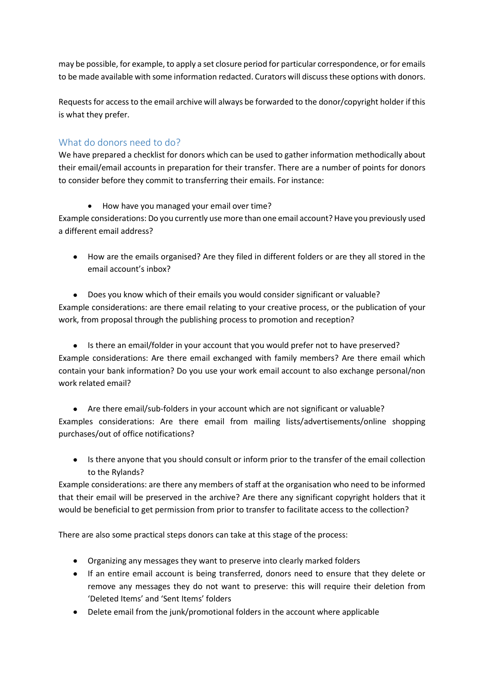may be possible, for example, to apply a set closure period for particular correspondence, or for emails to be made available with some information redacted. Curators will discuss these options with donors.

Requests for access to the email archive will always be forwarded to the donor/copyright holder if this is what they prefer.

## What do donors need to do?

We have prepared a checklist for donors which can be used to gather information methodically about their email/email accounts in preparation for their transfer. There are a number of points for donors to consider before they commit to transferring their emails. For instance:

• How have you managed your email over time?

Example considerations: Do you currently use more than one email account? Have you previously used a different email address?

 How are the emails organised? Are they filed in different folders or are they all stored in the email account's inbox?

 Does you know which of their emails you would consider significant or valuable? Example considerations: are there email relating to your creative process, or the publication of your work, from proposal through the publishing process to promotion and reception?

• Is there an email/folder in your account that you would prefer not to have preserved? Example considerations: Are there email exchanged with family members? Are there email which contain your bank information? Do you use your work email account to also exchange personal/non work related email?

 Are there email/sub-folders in your account which are not significant or valuable? Examples considerations: Are there email from mailing lists/advertisements/online shopping purchases/out of office notifications?

• Is there anyone that you should consult or inform prior to the transfer of the email collection to the Rylands?

Example considerations: are there any members of staff at the organisation who need to be informed that their email will be preserved in the archive? Are there any significant copyright holders that it would be beneficial to get permission from prior to transfer to facilitate access to the collection?

There are also some practical steps donors can take at this stage of the process:

- Organizing any messages they want to preserve into clearly marked folders
- If an entire email account is being transferred, donors need to ensure that they delete or remove any messages they do not want to preserve: this will require their deletion from 'Deleted Items' and 'Sent Items' folders
- Delete email from the junk/promotional folders in the account where applicable